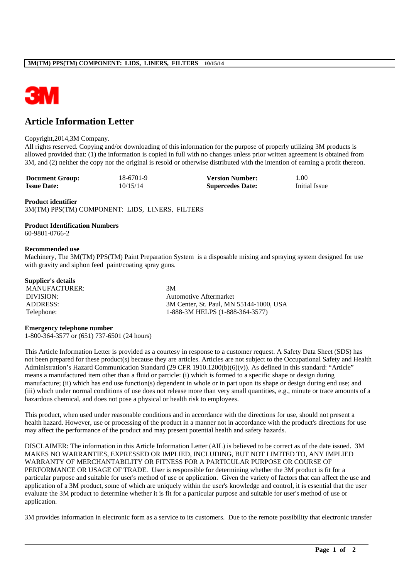

# **Article Information Letter**

#### Copyright,2014,3M Company.

All rights reserved. Copying and/or downloading of this information for the purpose of properly utilizing 3M products is allowed provided that: (1) the information is copied in full with no changes unless prior written agreement is obtained from 3M, and (2) neither the copy nor the original is resold or otherwise distributed with the intention of earning a profit thereon.

| <b>Document Group:</b> | 18-6701-9 | <b>Version Number:</b>  | l.00          |
|------------------------|-----------|-------------------------|---------------|
| <b>Issue Date:</b>     | 10/15/14  | <b>Supercedes Date:</b> | Initial Issue |

#### **Product identifier**

3M(TM) PPS(TM) COMPONENT: LIDS, LINERS, FILTERS

# **Product Identification Numbers**

60-9801-0766-2

#### **Recommended use**

Machinery, The 3M(TM) PPS(TM) Paint Preparation System is a disposable mixing and spraying system designed for use with gravity and siphon feed paint/coating spray guns.

### **Supplier's details**

MANUFACTURER: 3M

DIVISION: Automotive Aftermarket ADDRESS: 3M Center, St. Paul, MN 55144-1000, USA Telephone: 1-888-3M HELPS (1-888-364-3577)

#### **Emergency telephone number**

1-800-364-3577 or (651) 737-6501 (24 hours)

This Article Information Letter is provided as a courtesy in response to a customer request. A Safety Data Sheet (SDS) has not been prepared for these product(s) because they are articles. Articles are not subject to the Occupational Safety and Health Administration's Hazard Communication Standard (29 CFR 1910.1200(b)(6)(v)). As defined in this standard: "Article" means a manufactured item other than a fluid or particle: (i) which is formed to a specific shape or design during manufacture; (ii) which has end use function(s) dependent in whole or in part upon its shape or design during end use; and (iii) which under normal conditions of use does not release more than very small quantities, e.g., minute or trace amounts of a hazardous chemical, and does not pose a physical or health risk to employees.

This product, when used under reasonable conditions and in accordance with the directions for use, should not present a health hazard. However, use or processing of the product in a manner not in accordance with the product's directions for use may affect the performance of the product and may present potential health and safety hazards.

DISCLAIMER: The information in this Article Information Letter (AIL) is believed to be correct as of the date issued. 3M MAKES NO WARRANTIES, EXPRESSED OR IMPLIED, INCLUDING, BUT NOT LIMITED TO, ANY IMPLIED WARRANTY OF MERCHANTABILITY OR FITNESS FOR A PARTICULAR PURPOSE OR COURSE OF PERFORMANCE OR USAGE OF TRADE. User is responsible for determining whether the 3M product is fit for a particular purpose and suitable for user's method of use or application. Given the variety of factors that can affect the use and application of a 3M product, some of which are uniquely within the user's knowledge and control, it is essential that the user evaluate the 3M product to determine whether it is fit for a particular purpose and suitable for user's method of use or application.

3M provides information in electronic form as a service to its customers. Due to the remote possibility that electronic transfer

\_\_\_\_\_\_\_\_\_\_\_\_\_\_\_\_\_\_\_\_\_\_\_\_\_\_\_\_\_\_\_\_\_\_\_\_\_\_\_\_\_\_\_\_\_\_\_\_\_\_\_\_\_\_\_\_\_\_\_\_\_\_\_\_\_\_\_\_\_\_\_\_\_\_\_\_\_\_\_\_\_\_\_\_\_\_\_\_\_\_